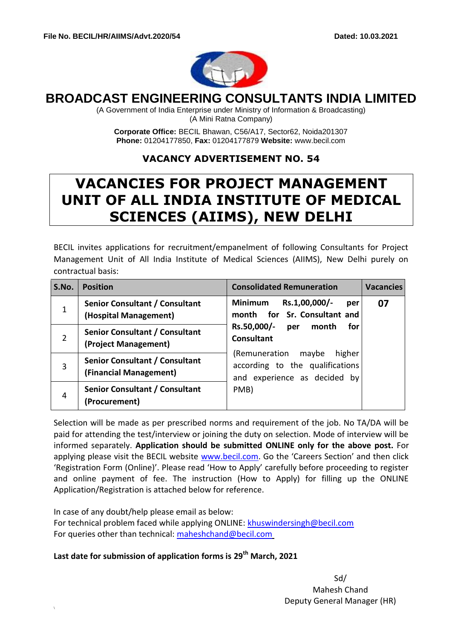

# **BROADCAST ENGINEERING CONSULTANTS INDIA LIMITED**

(A Government of India Enterprise under Ministry of Information & Broadcasting) (A Mini Ratna Company)

**Corporate Office:** BECIL Bhawan, C56/A17, Sector62, Noida201307 **Phone:** 01204177850, **Fax:** 01204177879 **Website:** [www.becil.com](http://www.becil.com/)

## **VACANCY ADVERTISEMENT NO. 54**

# **VACANCIES FOR PROJECT MANAGEMENT UNIT OF ALL INDIA INSTITUTE OF MEDICAL SCIENCES (AIIMS), NEW DELHI**

BECIL invites applications for recruitment/empanelment of following Consultants for Project Management Unit of All India Institute of Medical Sciences (AIIMS), New Delhi purely on contractual basis:

| S.No.          | <b>Position</b>                                                 | <b>Consolidated Remuneration</b>                                                                                                  | <b>Vacancies</b> |
|----------------|-----------------------------------------------------------------|-----------------------------------------------------------------------------------------------------------------------------------|------------------|
| $\mathbf{1}$   | <b>Senior Consultant / Consultant</b><br>(Hospital Management)  | <b>Minimum</b><br>Rs.1,00,000/-<br>per<br>month for Sr. Consultant and<br>Rs.50,000/-<br>for<br>month<br>per<br><b>Consultant</b> | 07               |
| $\overline{2}$ | Senior Consultant / Consultant<br>(Project Management)          |                                                                                                                                   |                  |
| 3              | <b>Senior Consultant / Consultant</b><br>(Financial Management) | higher<br>(Remuneration<br>maybe<br>according to the qualifications<br>and experience as decided by                               |                  |
| 4              | <b>Senior Consultant / Consultant</b><br>(Procurement)          | PMB)                                                                                                                              |                  |

Selection will be made as per prescribed norms and requirement of the job. No TA/DA will be paid for attending the test/interview or joining the duty on selection. Mode of interview will be informed separately. **Application should be submitted ONLINE only for the above post.** For applying please visit the BECIL website [www.becil.com](http://www.becil.com/). Go the 'Careers Section' and then click 'Registration Form (Online)'. Please read 'How to Apply' carefully before proceeding to register and online payment of fee. The instruction (How to Apply) for filling up the ONLINE Application/Registration is attached below for reference.

In case of any doubt/help please email as below: For technical problem faced while applying ONLINE: [khuswindersingh@becil.com](mailto:khuswindersingh@becil.com) For queries other than technical: [maheshchand@becil.com](mailto:maheshchand@becil.com)

**Last date for submission of application forms is 29th March, 2021**

\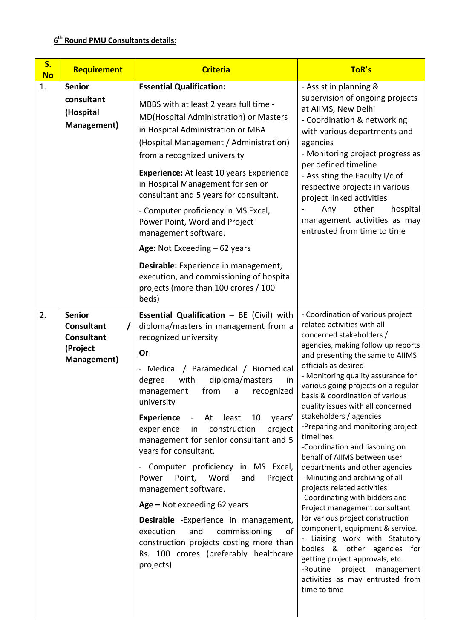### **6 th Round PMU Consultants details:**

| S.<br><b>No</b> | Requirement                                                                        | <b>Criteria</b>                                                                                                                                                                                                                                                                                                                                                                                                                                                                                                                                                                                                                                                                                                                                                                      | ToR's                                                                                                                                                                                                                                                                                                                                                                                                                                                                                                                                                                                                                                                                                                                                                                                                                                                                                                                                         |
|-----------------|------------------------------------------------------------------------------------|--------------------------------------------------------------------------------------------------------------------------------------------------------------------------------------------------------------------------------------------------------------------------------------------------------------------------------------------------------------------------------------------------------------------------------------------------------------------------------------------------------------------------------------------------------------------------------------------------------------------------------------------------------------------------------------------------------------------------------------------------------------------------------------|-----------------------------------------------------------------------------------------------------------------------------------------------------------------------------------------------------------------------------------------------------------------------------------------------------------------------------------------------------------------------------------------------------------------------------------------------------------------------------------------------------------------------------------------------------------------------------------------------------------------------------------------------------------------------------------------------------------------------------------------------------------------------------------------------------------------------------------------------------------------------------------------------------------------------------------------------|
| 1.              | <b>Senior</b><br>consultant<br>(Hospital<br>Management)                            | <b>Essential Qualification:</b><br>MBBS with at least 2 years full time -<br>MD(Hospital Administration) or Masters<br>in Hospital Administration or MBA<br>(Hospital Management / Administration)<br>from a recognized university<br><b>Experience:</b> At least 10 years Experience<br>in Hospital Management for senior<br>consultant and 5 years for consultant.<br>- Computer proficiency in MS Excel,<br>Power Point, Word and Project<br>management software.<br>Age: Not Exceeding $-62$ years<br>Desirable: Experience in management,<br>execution, and commissioning of hospital<br>projects (more than 100 crores / 100<br>beds)                                                                                                                                          | - Assist in planning &<br>supervision of ongoing projects<br>at AIIMS, New Delhi<br>- Coordination & networking<br>with various departments and<br>agencies<br>- Monitoring project progress as<br>per defined timeline<br>- Assisting the Faculty I/c of<br>respective projects in various<br>project linked activities<br>other<br>hospital<br>Any<br>management activities as may<br>entrusted from time to time                                                                                                                                                                                                                                                                                                                                                                                                                                                                                                                           |
| 2.              | <b>Senior</b><br><b>Consultant</b><br><b>Consultant</b><br>(Project<br>Management) | Essential Qualification - BE (Civil) with<br>diploma/masters in management from a<br>recognized university<br>$Or$<br>- Medical / Paramedical / Biomedical<br>with<br>diploma/masters<br>degree<br>in<br>from<br>recognized<br>management<br>a<br>university<br><b>Experience</b><br>least<br>years'<br>At<br>10<br>$\blacksquare$<br>construction<br>project<br>experience<br>in<br>management for senior consultant and 5<br>years for consultant.<br>- Computer proficiency in MS Excel,<br>Power<br>Point, Word<br>Project<br>and<br>management software.<br>$Age - Not exceeding 62 years$<br>Desirable - Experience in management,<br>and<br>execution<br>commissioning<br>of<br>construction projects costing more than<br>Rs. 100 crores (preferably healthcare<br>projects) | - Coordination of various project<br>related activities with all<br>concerned stakeholders /<br>agencies, making follow up reports<br>and presenting the same to AIIMS<br>officials as desired<br>- Monitoring quality assurance for<br>various going projects on a regular<br>basis & coordination of various<br>quality issues with all concerned<br>stakeholders / agencies<br>-Preparing and monitoring project<br>timelines<br>-Coordination and liasoning on<br>behalf of AIIMS between user<br>departments and other agencies<br>- Minuting and archiving of all<br>projects related activities<br>-Coordinating with bidders and<br>Project management consultant<br>for various project construction<br>component, equipment & service.<br>- Liaising work with Statutory<br>bodies & other agencies for<br>getting project approvals, etc.<br>-Routine<br>project<br>management<br>activities as may entrusted from<br>time to time |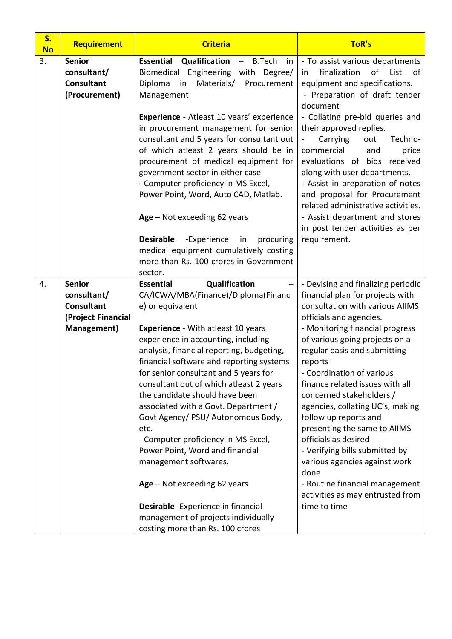| S.<br><b>No</b> | Requirement        | <b>Criteria</b>                                    | ToR's                                                                |
|-----------------|--------------------|----------------------------------------------------|----------------------------------------------------------------------|
| 3.              | <b>Senior</b>      | Essential<br>Qualification<br>- B.Tech<br>in       | - To assist various departments                                      |
|                 | consultant/        | Biomedical Engineering with Degree/                | of<br>finalization<br>List<br>in<br>of                               |
|                 | <b>Consultant</b>  | Diploma<br>Materials/<br>Procurement<br>in         | equipment and specifications.                                        |
|                 | (Procurement)      | Management                                         | - Preparation of draft tender                                        |
|                 |                    |                                                    | document                                                             |
|                 |                    | Experience - Atleast 10 years' experience          | - Collating pre-bid queries and                                      |
|                 |                    | in procurement management for senior               | their approved replies.                                              |
|                 |                    | consultant and 5 years for consultant out          | Techno-<br>Carrying<br>out                                           |
|                 |                    | of which atleast 2 years should be in              | commercial<br>price<br>and                                           |
|                 |                    | procurement of medical equipment for               | evaluations of bids<br>received                                      |
|                 |                    | government sector in either case.                  | along with user departments.                                         |
|                 |                    | - Computer proficiency in MS Excel,                | - Assist in preparation of notes                                     |
|                 |                    | Power Point, Word, Auto CAD, Matlab.               | and proposal for Procurement                                         |
|                 |                    |                                                    | related administrative activities.<br>- Assist department and stores |
|                 |                    | $Age - Not exceeding 62 years$                     | in post tender activities as per                                     |
|                 |                    | <b>Desirable</b><br>-Experience<br>procuring<br>in | requirement.                                                         |
|                 |                    | medical equipment cumulatively costing             |                                                                      |
|                 |                    | more than Rs. 100 crores in Government             |                                                                      |
|                 |                    | sector.                                            |                                                                      |
| 4.              | <b>Senior</b>      | Qualification<br><b>Essential</b>                  | - Devising and finalizing periodic                                   |
|                 | consultant/        | CA/ICWA/MBA(Finance)/Diploma(Financ                | financial plan for projects with                                     |
|                 | <b>Consultant</b>  | e) or equivalent                                   | consultation with various AIIMS                                      |
|                 | (Project Financial |                                                    | officials and agencies.                                              |
|                 | Management)        | <b>Experience</b> - With atleast 10 years          | - Monitoring financial progress                                      |
|                 |                    | experience in accounting, including                | of various going projects on a                                       |
|                 |                    | analysis, financial reporting, budgeting,          | regular basis and submitting                                         |
|                 |                    | financial software and reporting systems           | reports                                                              |
|                 |                    | for senior consultant and 5 years for              | - Coordination of various                                            |
|                 |                    | consultant out of which atleast 2 years            | finance related issues with all                                      |
|                 |                    | the candidate should have been                     | concerned stakeholders /                                             |
|                 |                    | associated with a Govt. Department /               | agencies, collating UC's, making                                     |
|                 |                    | Govt Agency/ PSU/ Autonomous Body,                 | follow up reports and                                                |
|                 |                    | etc.<br>- Computer proficiency in MS Excel,        | presenting the same to AIIMS<br>officials as desired                 |
|                 |                    | Power Point, Word and financial                    | - Verifying bills submitted by                                       |
|                 |                    | management softwares.                              | various agencies against work                                        |
|                 |                    |                                                    | done                                                                 |
|                 |                    | $Age - Not exceeding 62 years$                     | - Routine financial management                                       |
|                 |                    |                                                    | activities as may entrusted from                                     |
|                 |                    | Desirable - Experience in financial                | time to time                                                         |
|                 |                    | management of projects individually                |                                                                      |
|                 |                    | costing more than Rs. 100 crores                   |                                                                      |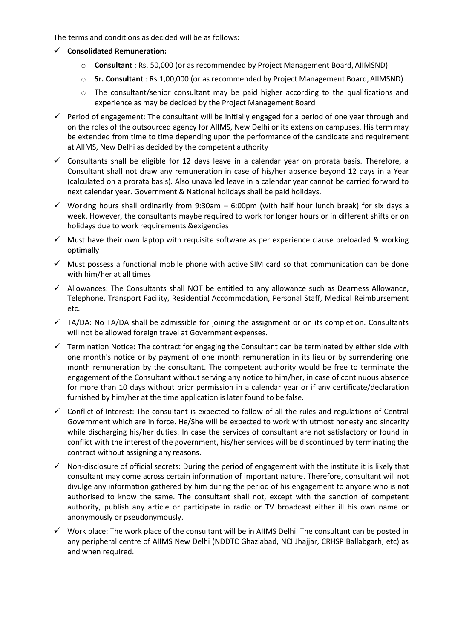The terms and conditions as decided will be as follows:

- **Consolidated Remuneration:**
	- o **Consultant** : Rs. 50,000 (or as recommended by Project Management Board, AIIMSND)
	- o **Sr. Consultant** : Rs.1,00,000 (or as recommended by Project Management Board,AIIMSND)
	- o The consultant/senior consultant may be paid higher according to the qualifications and experience as may be decided by the Project Management Board
- $\checkmark$  Period of engagement: The consultant will be initially engaged for a period of one year through and on the roles of the outsourced agency for AIIMS, New Delhi or its extension campuses. His term may be extended from time to time depending upon the performance of the candidate and requirement at AIIMS, New Delhi as decided by the competent authority
- $\checkmark$  Consultants shall be eligible for 12 days leave in a calendar year on prorata basis. Therefore, a Consultant shall not draw any remuneration in case of his/her absence beyond 12 days in a Year (calculated on a prorata basis). Also unavailed leave in a calendar year cannot be carried forward to next calendar year. Government & National holidays shall be paid holidays.
- $\checkmark$  Working hours shall ordinarily from 9:30am 6:00pm (with half hour lunch break) for six days a week. However, the consultants maybe required to work for longer hours or in different shifts or on holidays due to work requirements &exigencies
- $\checkmark$  Must have their own laptop with requisite software as per experience clause preloaded & working optimally
- $\checkmark$  Must possess a functional mobile phone with active SIM card so that communication can be done with him/her at all times
- $\checkmark$  Allowances: The Consultants shall NOT be entitled to any allowance such as Dearness Allowance, Telephone, Transport Facility, Residential Accommodation, Personal Staff, Medical Reimbursement etc.
- $\checkmark$  TA/DA: No TA/DA shall be admissible for joining the assignment or on its completion. Consultants will not be allowed foreign travel at Government expenses.
- $\checkmark$  Termination Notice: The contract for engaging the Consultant can be terminated by either side with one month's notice or by payment of one month remuneration in its lieu or by surrendering one month remuneration by the consultant. The competent authority would be free to terminate the engagement of the Consultant without serving any notice to him/her, in case of continuous absence for more than 10 days without prior permission in a calendar year or if any certificate/declaration furnished by him/her at the time application is later found to be false.
- $\checkmark$  Conflict of Interest: The consultant is expected to follow of all the rules and regulations of Central Government which are in force. He/She will be expected to work with utmost honesty and sincerity while discharging his/her duties. In case the services of consultant are not satisfactory or found in conflict with the interest of the government, his/her services will be discontinued by terminating the contract without assigning any reasons.
- $\checkmark$  Non-disclosure of official secrets: During the period of engagement with the institute it is likely that consultant may come across certain information of important nature. Therefore, consultant will not divulge any information gathered by him during the period of his engagement to anyone who is not authorised to know the same. The consultant shall not, except with the sanction of competent authority, publish any article or participate in radio or TV broadcast either ill his own name or anonymously or pseudonymously.
- $\checkmark$  Work place: The work place of the consultant will be in AIIMS Delhi. The consultant can be posted in any peripheral centre of AIIMS New Delhi (NDDTC Ghaziabad, NCI Jhajjar, CRHSP Ballabgarh, etc) as and when required.